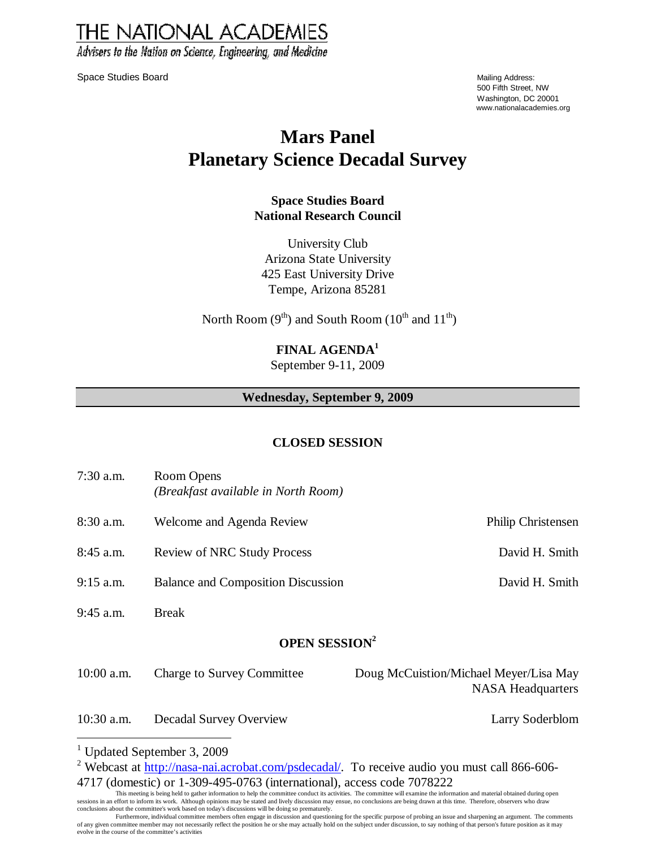**THE NATIONAL ACADEMIES** Advisers to the Nation on Science, Engineering, and Medicine

Space Studies Board Mailing Address: No. 2012 12:30 No. 2012 12:30 Nailing Address: Nailing Address: Nailing Address:

500 Fifth Street, NW Washington, DC 20001 www.nationalacademies.org

# **Mars Panel Planetary Science Decadal Survey**

### **Space Studies Board National Research Council**

University Club Arizona State University 425 East University Drive Tempe, Arizona 85281

North Room ( $9<sup>th</sup>$ ) and South Room ( $10<sup>th</sup>$  and  $11<sup>th</sup>$ )

## **FINAL AGENDA<sup>1</sup>**

September 9-11, 2009

### **Wednesday, September 9, 2009**

### **CLOSED SESSION**

| $7:30$ a.m.                     | Room Opens<br>(Breakfast available in North Room) |                                                                    |  |  |  |
|---------------------------------|---------------------------------------------------|--------------------------------------------------------------------|--|--|--|
| 8:30 a.m.                       | Welcome and Agenda Review                         | Philip Christensen                                                 |  |  |  |
| $8:45$ a.m.                     | <b>Review of NRC Study Process</b>                | David H. Smith                                                     |  |  |  |
| $9:15$ a.m.                     | <b>Balance and Composition Discussion</b>         | David H. Smith                                                     |  |  |  |
| $9:45$ a.m.                     | <b>Break</b>                                      |                                                                    |  |  |  |
| <b>OPEN SESSION<sup>2</sup></b> |                                                   |                                                                    |  |  |  |
| $10:00$ a.m.                    | <b>Charge to Survey Committee</b>                 | Doug McCuistion/Michael Meyer/Lisa May<br><b>NASA</b> Headquarters |  |  |  |
| $10:30$ a.m.                    | <b>Decadal Survey Overview</b>                    | Larry Soderblom                                                    |  |  |  |

 1 Updated September 3, 2009

<sup>&</sup>lt;sup>2</sup> Webcast at http://nasa-nai.acrobat.com/psdecadal/. To receive audio you must call 866-606-4717 (domestic) or 1-309-495-0763 (international), access code 7078222

This meeting is being held to gather information to help the committee conduct its activities. The committee will examine the information and material obtained during open sessions in an effort to inform its work. Although opinions may be stated and lively discussion may ensue, no conclusions are being drawn at this time. Therefore, observers who draw<br>conclusions about the committee's work b

Furthermore, individual committee members often engage in discussion and questioning for the specific purpose of probing an issue and sharpening an argument. The comments of any given committee member may not necessarily reflect the position he or she may actually hold on the subject under discussion, to say nothing of that person's future position as it may evolve in the course of the committee's activities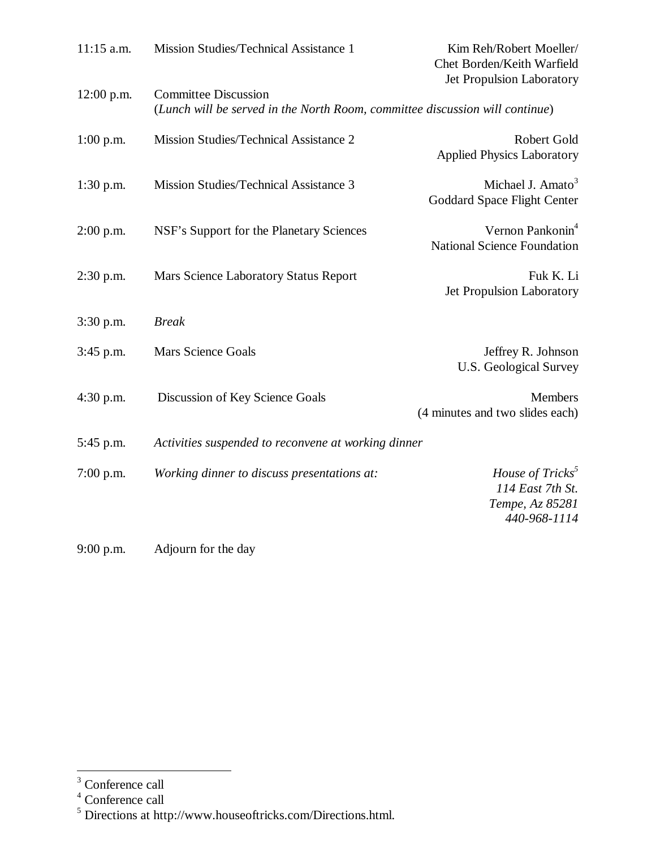| 11:15 a.m.   | Mission Studies/Technical Assistance 1                                                                      | Kim Reh/Robert Moeller/<br>Chet Borden/Keith Warfield<br>Jet Propulsion Laboratory  |  |
|--------------|-------------------------------------------------------------------------------------------------------------|-------------------------------------------------------------------------------------|--|
| $12:00$ p.m. | <b>Committee Discussion</b><br>(Lunch will be served in the North Room, committee discussion will continue) |                                                                                     |  |
| $1:00$ p.m.  | Mission Studies/Technical Assistance 2                                                                      | Robert Gold<br><b>Applied Physics Laboratory</b>                                    |  |
| $1:30$ p.m.  | Mission Studies/Technical Assistance 3                                                                      | Michael J. Amato <sup>3</sup><br>Goddard Space Flight Center                        |  |
| $2:00$ p.m.  | NSF's Support for the Planetary Sciences                                                                    | Vernon Pankonin <sup>4</sup><br><b>National Science Foundation</b>                  |  |
| $2:30$ p.m.  | Mars Science Laboratory Status Report                                                                       | Fuk K. Li<br><b>Jet Propulsion Laboratory</b>                                       |  |
| $3:30$ p.m.  | <b>Break</b>                                                                                                |                                                                                     |  |
| $3:45$ p.m.  | <b>Mars Science Goals</b>                                                                                   | Jeffrey R. Johnson<br><b>U.S. Geological Survey</b>                                 |  |
| 4:30 p.m.    | Discussion of Key Science Goals                                                                             | <b>Members</b><br>(4 minutes and two slides each)                                   |  |
| 5:45 p.m.    | Activities suspended to reconvene at working dinner                                                         |                                                                                     |  |
| $7:00$ p.m.  | Working dinner to discuss presentations at:                                                                 | House of Tricks <sup>3</sup><br>114 East 7th St.<br>Tempe, Az 85281<br>440-968-1114 |  |
| $9:00$ p.m.  | Adjourn for the day                                                                                         |                                                                                     |  |

<sup>&</sup>lt;sup>3</sup><br>
<sup>4</sup> Conference call<br>
<sup>5</sup> Directions at http://www.houseoftricks.com/Directions.html.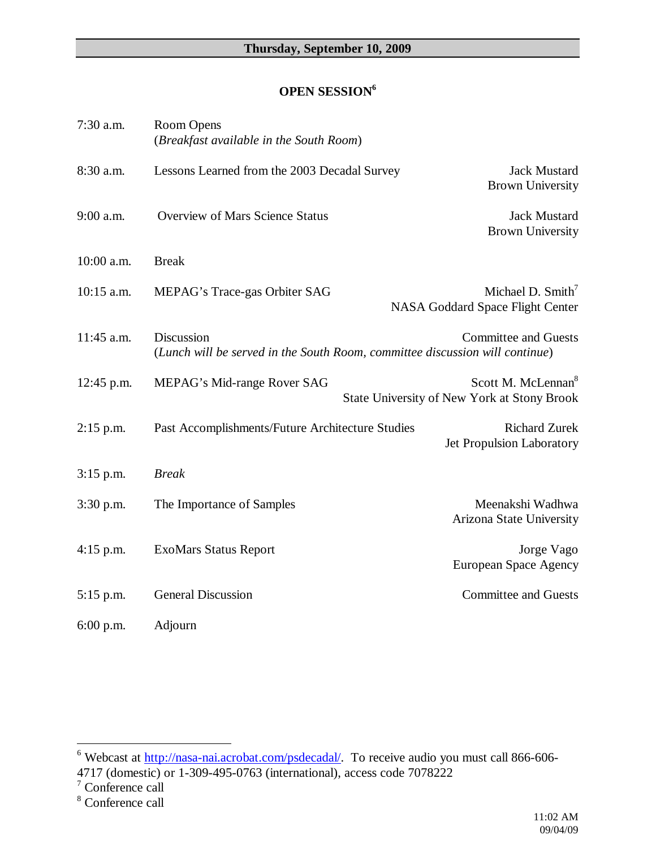## **OPEN SESSION<sup>6</sup>**

| 7:30 a.m.    | Room Opens<br>(Breakfast available in the South Room)                                      |                                                                                      |
|--------------|--------------------------------------------------------------------------------------------|--------------------------------------------------------------------------------------|
| 8:30 a.m.    | Lessons Learned from the 2003 Decadal Survey                                               | Jack Mustard<br><b>Brown University</b>                                              |
| 9:00 a.m.    | <b>Overview of Mars Science Status</b>                                                     | <b>Jack Mustard</b><br><b>Brown University</b>                                       |
| 10:00 a.m.   | <b>Break</b>                                                                               |                                                                                      |
| $10:15$ a.m. | MEPAG's Trace-gas Orbiter SAG                                                              | Michael D. $Smith7$<br>NASA Goddard Space Flight Center                              |
| 11:45 a.m.   | Discussion<br>(Lunch will be served in the South Room, committee discussion will continue) | <b>Committee and Guests</b>                                                          |
| 12:45 p.m.   | MEPAG's Mid-range Rover SAG                                                                | Scott M. McLennan <sup>8</sup><br><b>State University of New York at Stony Brook</b> |
| $2:15$ p.m.  | Past Accomplishments/Future Architecture Studies                                           | <b>Richard Zurek</b><br>Jet Propulsion Laboratory                                    |
| $3:15$ p.m.  | <b>Break</b>                                                                               |                                                                                      |
| $3:30$ p.m.  | The Importance of Samples                                                                  | Meenakshi Wadhwa<br>Arizona State University                                         |
| 4:15 p.m.    | <b>ExoMars Status Report</b>                                                               | Jorge Vago<br><b>European Space Agency</b>                                           |
| $5:15$ p.m.  | <b>General Discussion</b>                                                                  | <b>Committee and Guests</b>                                                          |
| $6:00$ p.m.  | Adjourn                                                                                    |                                                                                      |

Webcast at http://nasa-nai.acrobat.com/psdecadal/. To receive audio you must call 866-606-

<sup>4717 (</sup>domestic) or 1-309-495-0763 (international), access code 7078222  $^7$  Conference call

<sup>8</sup> Conference call